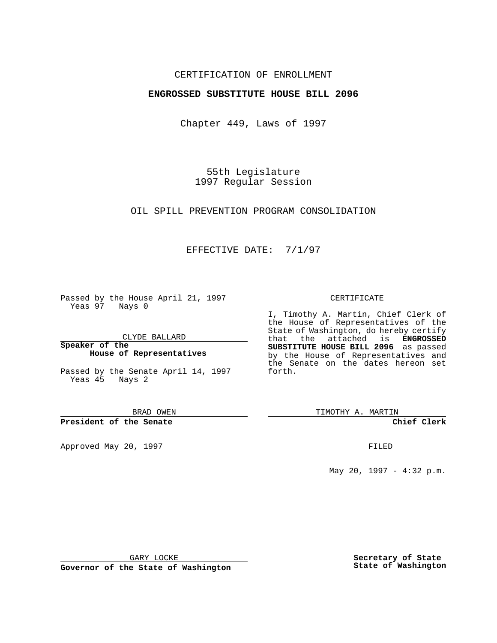### CERTIFICATION OF ENROLLMENT

## **ENGROSSED SUBSTITUTE HOUSE BILL 2096**

Chapter 449, Laws of 1997

55th Legislature 1997 Regular Session

OIL SPILL PREVENTION PROGRAM CONSOLIDATION

## EFFECTIVE DATE: 7/1/97

Passed by the House April 21, 1997 Yeas 97 Nays 0

CLYDE BALLARD

**Speaker of the House of Representatives**

Passed by the Senate April 14, 1997 Yeas 45 Nays 2

BRAD OWEN

**President of the Senate**

Approved May 20, 1997 **FILED** 

#### CERTIFICATE

I, Timothy A. Martin, Chief Clerk of the House of Representatives of the State of Washington, do hereby certify that the attached is **ENGROSSED SUBSTITUTE HOUSE BILL 2096** as passed by the House of Representatives and the Senate on the dates hereon set forth.

TIMOTHY A. MARTIN

#### **Chief Clerk**

May 20, 1997 - 4:32 p.m.

GARY LOCKE

**Governor of the State of Washington**

**Secretary of State State of Washington**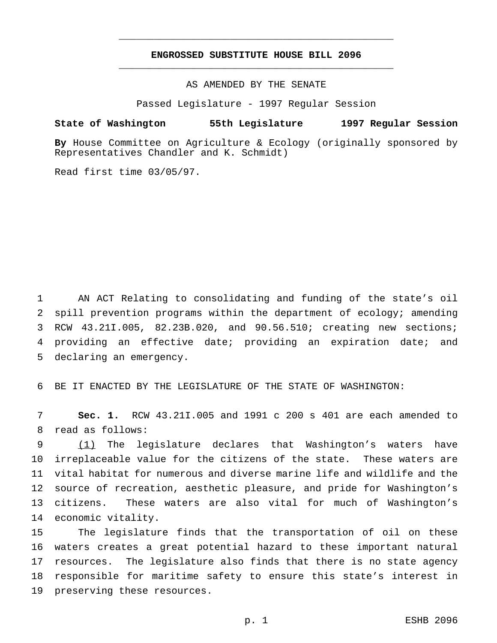# **ENGROSSED SUBSTITUTE HOUSE BILL 2096** \_\_\_\_\_\_\_\_\_\_\_\_\_\_\_\_\_\_\_\_\_\_\_\_\_\_\_\_\_\_\_\_\_\_\_\_\_\_\_\_\_\_\_\_\_\_\_

\_\_\_\_\_\_\_\_\_\_\_\_\_\_\_\_\_\_\_\_\_\_\_\_\_\_\_\_\_\_\_\_\_\_\_\_\_\_\_\_\_\_\_\_\_\_\_

AS AMENDED BY THE SENATE

Passed Legislature - 1997 Regular Session

#### **State of Washington 55th Legislature 1997 Regular Session**

**By** House Committee on Agriculture & Ecology (originally sponsored by Representatives Chandler and K. Schmidt)

Read first time 03/05/97.

 AN ACT Relating to consolidating and funding of the state's oil spill prevention programs within the department of ecology; amending RCW 43.21I.005, 82.23B.020, and 90.56.510; creating new sections; providing an effective date; providing an expiration date; and declaring an emergency.

BE IT ENACTED BY THE LEGISLATURE OF THE STATE OF WASHINGTON:

 **Sec. 1.** RCW 43.21I.005 and 1991 c 200 s 401 are each amended to read as follows:

 (1) The legislature declares that Washington's waters have irreplaceable value for the citizens of the state. These waters are vital habitat for numerous and diverse marine life and wildlife and the source of recreation, aesthetic pleasure, and pride for Washington's citizens. These waters are also vital for much of Washington's economic vitality.

 The legislature finds that the transportation of oil on these waters creates a great potential hazard to these important natural resources. The legislature also finds that there is no state agency responsible for maritime safety to ensure this state's interest in preserving these resources.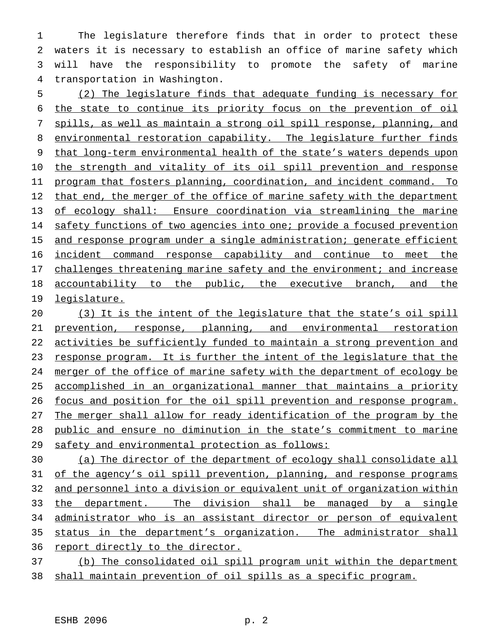The legislature therefore finds that in order to protect these waters it is necessary to establish an office of marine safety which will have the responsibility to promote the safety of marine transportation in Washington.

 (2) The legislature finds that adequate funding is necessary for the state to continue its priority focus on the prevention of oil spills, as well as maintain a strong oil spill response, planning, and 8 environmental restoration capability. The legislature further finds that long-term environmental health of the state's waters depends upon 10 the strength and vitality of its oil spill prevention and response program that fosters planning, coordination, and incident command. To 12 that end, the merger of the office of marine safety with the department of ecology shall: Ensure coordination via streamlining the marine 14 safety functions of two agencies into one; provide a focused prevention 15 and response program under a single administration; generate efficient incident command response capability and continue to meet the 17 challenges threatening marine safety and the environment; and increase accountability to the public, the executive branch, and the legislature.

 (3) It is the intent of the legislature that the state's oil spill prevention, response, planning, and environmental restoration activities be sufficiently funded to maintain a strong prevention and response program. It is further the intent of the legislature that the merger of the office of marine safety with the department of ecology be accomplished in an organizational manner that maintains a priority focus and position for the oil spill prevention and response program. The merger shall allow for ready identification of the program by the public and ensure no diminution in the state's commitment to marine 29 safety and environmental protection as follows:

 (a) The director of the department of ecology shall consolidate all of the agency's oil spill prevention, planning, and response programs and personnel into a division or equivalent unit of organization within 33 the department. The division shall be managed by a single 34 administrator who is an assistant director or person of equivalent status in the department's organization. The administrator shall 36 report directly to the director.

 (b) The consolidated oil spill program unit within the department shall maintain prevention of oil spills as a specific program.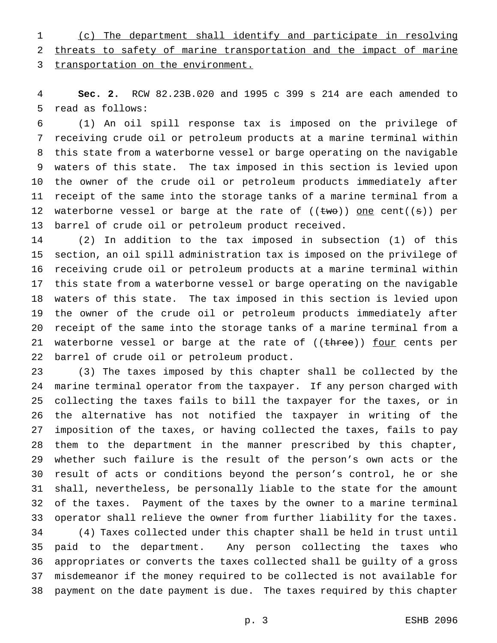(c) The department shall identify and participate in resolving threats to safety of marine transportation and the impact of marine 3 transportation on the environment.

 **Sec. 2.** RCW 82.23B.020 and 1995 c 399 s 214 are each amended to read as follows:

 (1) An oil spill response tax is imposed on the privilege of receiving crude oil or petroleum products at a marine terminal within this state from a waterborne vessel or barge operating on the navigable waters of this state. The tax imposed in this section is levied upon the owner of the crude oil or petroleum products immediately after receipt of the same into the storage tanks of a marine terminal from a 12 waterborne vessel or barge at the rate of  $((\text{two}))$  one cent $((s))$  per barrel of crude oil or petroleum product received.

 (2) In addition to the tax imposed in subsection (1) of this section, an oil spill administration tax is imposed on the privilege of receiving crude oil or petroleum products at a marine terminal within this state from a waterborne vessel or barge operating on the navigable waters of this state. The tax imposed in this section is levied upon the owner of the crude oil or petroleum products immediately after receipt of the same into the storage tanks of a marine terminal from a 21 waterborne vessel or barge at the rate of ((three)) four cents per barrel of crude oil or petroleum product.

 (3) The taxes imposed by this chapter shall be collected by the marine terminal operator from the taxpayer. If any person charged with collecting the taxes fails to bill the taxpayer for the taxes, or in the alternative has not notified the taxpayer in writing of the imposition of the taxes, or having collected the taxes, fails to pay them to the department in the manner prescribed by this chapter, whether such failure is the result of the person's own acts or the result of acts or conditions beyond the person's control, he or she shall, nevertheless, be personally liable to the state for the amount of the taxes. Payment of the taxes by the owner to a marine terminal operator shall relieve the owner from further liability for the taxes. (4) Taxes collected under this chapter shall be held in trust until paid to the department. Any person collecting the taxes who appropriates or converts the taxes collected shall be guilty of a gross misdemeanor if the money required to be collected is not available for payment on the date payment is due. The taxes required by this chapter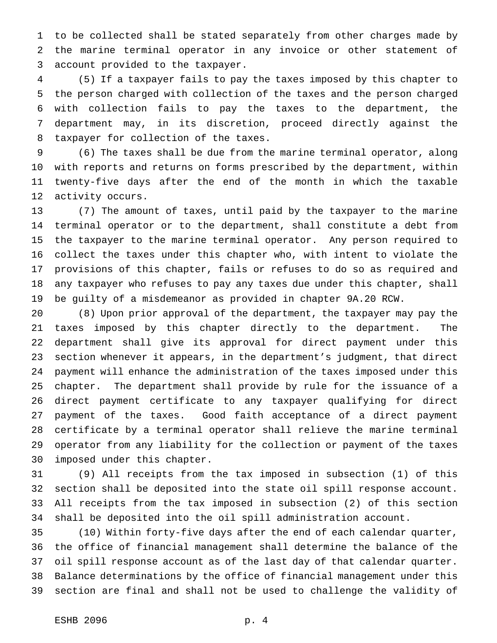to be collected shall be stated separately from other charges made by the marine terminal operator in any invoice or other statement of account provided to the taxpayer.

 (5) If a taxpayer fails to pay the taxes imposed by this chapter to the person charged with collection of the taxes and the person charged with collection fails to pay the taxes to the department, the department may, in its discretion, proceed directly against the taxpayer for collection of the taxes.

 (6) The taxes shall be due from the marine terminal operator, along with reports and returns on forms prescribed by the department, within twenty-five days after the end of the month in which the taxable activity occurs.

 (7) The amount of taxes, until paid by the taxpayer to the marine terminal operator or to the department, shall constitute a debt from the taxpayer to the marine terminal operator. Any person required to collect the taxes under this chapter who, with intent to violate the provisions of this chapter, fails or refuses to do so as required and any taxpayer who refuses to pay any taxes due under this chapter, shall be guilty of a misdemeanor as provided in chapter 9A.20 RCW.

 (8) Upon prior approval of the department, the taxpayer may pay the taxes imposed by this chapter directly to the department. The department shall give its approval for direct payment under this section whenever it appears, in the department's judgment, that direct payment will enhance the administration of the taxes imposed under this chapter. The department shall provide by rule for the issuance of a direct payment certificate to any taxpayer qualifying for direct payment of the taxes. Good faith acceptance of a direct payment certificate by a terminal operator shall relieve the marine terminal operator from any liability for the collection or payment of the taxes imposed under this chapter.

 (9) All receipts from the tax imposed in subsection (1) of this section shall be deposited into the state oil spill response account. All receipts from the tax imposed in subsection (2) of this section shall be deposited into the oil spill administration account.

 (10) Within forty-five days after the end of each calendar quarter, the office of financial management shall determine the balance of the oil spill response account as of the last day of that calendar quarter. Balance determinations by the office of financial management under this section are final and shall not be used to challenge the validity of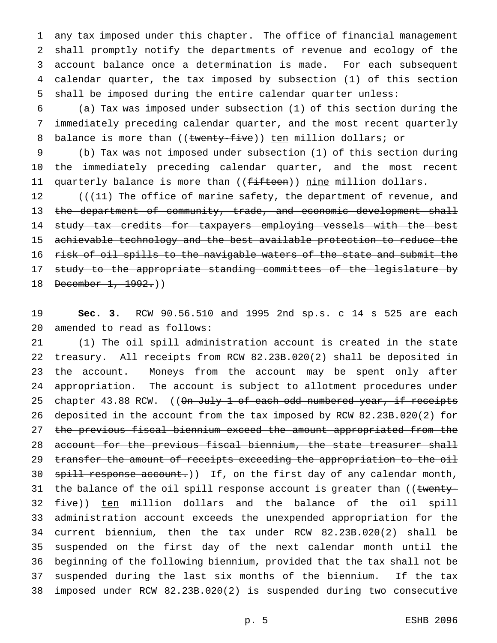any tax imposed under this chapter. The office of financial management shall promptly notify the departments of revenue and ecology of the account balance once a determination is made. For each subsequent calendar quarter, the tax imposed by subsection (1) of this section shall be imposed during the entire calendar quarter unless:

 (a) Tax was imposed under subsection (1) of this section during the immediately preceding calendar quarter, and the most recent quarterly 8 balance is more than ((twenty-five)) ten million dollars; or

 (b) Tax was not imposed under subsection (1) of this section during the immediately preceding calendar quarter, and the most recent 11 quarterly balance is more than ((<del>fifteen</del>)) nine million dollars.

12 (((11) The office of marine safety, the department of revenue, and 13 the department of community, trade, and economic development shall study tax credits for taxpayers employing vessels with the best achievable technology and the best available protection to reduce the risk of oil spills to the navigable waters of the state and submit the 17 study to the appropriate standing committees of the legislature by 18 December 1, 1992.))

 **Sec. 3.** RCW 90.56.510 and 1995 2nd sp.s. c 14 s 525 are each amended to read as follows:

 (1) The oil spill administration account is created in the state treasury. All receipts from RCW 82.23B.020(2) shall be deposited in the account. Moneys from the account may be spent only after appropriation. The account is subject to allotment procedures under 25 chapter 43.88 RCW. ((On July 1 of each odd-numbered year, if receipts 26 deposited in the account from the tax imposed by RCW 82.23B.020(2) for the previous fiscal biennium exceed the amount appropriated from the 28 account for the previous fiscal biennium, the state treasurer shall 29 transfer the amount of receipts exceeding the appropriation to the oil 30 spill response account.)) If, on the first day of any calendar month, 31 the balance of the oil spill response account is greater than ((twenty-32 <del>five</del>)) ten million dollars and the balance of the oil spill administration account exceeds the unexpended appropriation for the current biennium, then the tax under RCW 82.23B.020(2) shall be suspended on the first day of the next calendar month until the beginning of the following biennium, provided that the tax shall not be suspended during the last six months of the biennium. If the tax imposed under RCW 82.23B.020(2) is suspended during two consecutive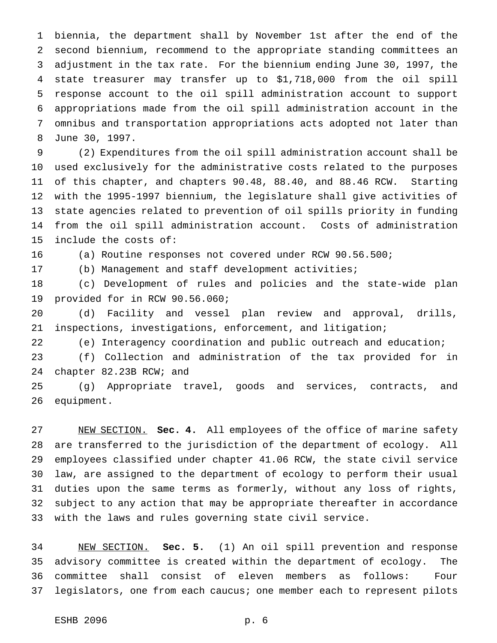biennia, the department shall by November 1st after the end of the second biennium, recommend to the appropriate standing committees an adjustment in the tax rate. For the biennium ending June 30, 1997, the state treasurer may transfer up to \$1,718,000 from the oil spill response account to the oil spill administration account to support appropriations made from the oil spill administration account in the omnibus and transportation appropriations acts adopted not later than June 30, 1997.

 (2) Expenditures from the oil spill administration account shall be used exclusively for the administrative costs related to the purposes of this chapter, and chapters 90.48, 88.40, and 88.46 RCW. Starting with the 1995-1997 biennium, the legislature shall give activities of state agencies related to prevention of oil spills priority in funding from the oil spill administration account. Costs of administration include the costs of:

(a) Routine responses not covered under RCW 90.56.500;

(b) Management and staff development activities;

 (c) Development of rules and policies and the state-wide plan provided for in RCW 90.56.060;

 (d) Facility and vessel plan review and approval, drills, inspections, investigations, enforcement, and litigation;

(e) Interagency coordination and public outreach and education;

 (f) Collection and administration of the tax provided for in chapter 82.23B RCW; and

 (g) Appropriate travel, goods and services, contracts, and equipment.

 NEW SECTION. **Sec. 4.** All employees of the office of marine safety are transferred to the jurisdiction of the department of ecology. All employees classified under chapter 41.06 RCW, the state civil service law, are assigned to the department of ecology to perform their usual duties upon the same terms as formerly, without any loss of rights, subject to any action that may be appropriate thereafter in accordance with the laws and rules governing state civil service.

 NEW SECTION. **Sec. 5.** (1) An oil spill prevention and response advisory committee is created within the department of ecology. The committee shall consist of eleven members as follows: Four legislators, one from each caucus; one member each to represent pilots